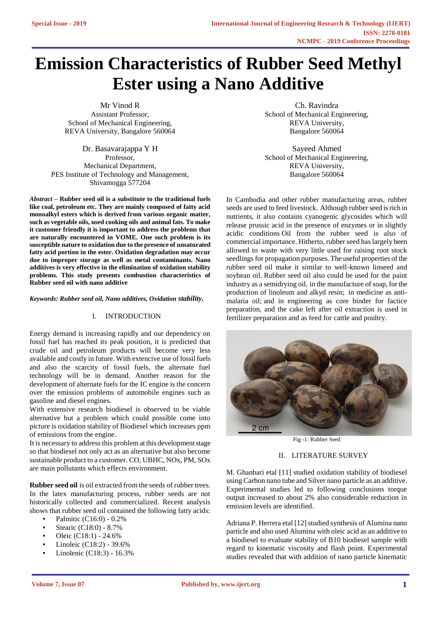# **Emission Characteristics of Rubber Seed Methyl Ester using a Nano Additive**

Mr Vinod R Assistant Professor, School of Mechanical Engineering, REVA University, Bangalore 560064

Dr. Basavarajappa Y H Professor, Mechanical Department, PES Institute of Technology and Management, Shivamogga 577204

*Abstract –* **Rubber seed oil is a substitute to the traditional fuels like coal, petroleum etc. They are mainly composed of fatty acid monoalkyl esters which is derived from various organic matter, such as vegetable oils, used cooking oils and animal fats. To make it customer friendly it is important to address the problems that are naturally encountered in VOME. One such problem is its susceptible nature to oxidation due to the presence of unsaturated fatty acid portion in the ester. Oxidation degradation may occur due to improper storage as well as metal contaminants. Nano additives is very effective in the elimination of oxidation stability problems. This study presents combustion characteristics of Rubber seed oil with nano additive**

*Keywords: Rubber seed oil, Nano additives, Oxidation stability.*

## I. INTRODUCTION

Energy demand is increasing rapidly and our dependency on fossil fuel has reached its peak position, it is predicted that crude oil and petroleum products will become very less available and costly in future. With extencive use of fossil fuels and also the scarcity of fossil fuels, the alternate fuel technology will be in demand. Another reason for the development of alternate fuels for the IC engine is the concern over the emission problems of automobile engines such as gasoline and diesel engines.

With extensive research biodiesel is observed to be viable alternative but a problem which could possible come into picture is oxidation stability of Biodiesel which increases ppm of emissions from the engine.

It is necessary to address this problem at this development stage so that biodiesel not only act as an alternative but also become sustainable product to a customer. CO, UBHC, NOx, PM, SOx are main pollutants which effects environment.

**Rubber seed oil** is oil extracted from the seeds of rubber trees. In the latex manufacturing process, rubber seeds are not historically collected and commercialized. Recent analysis shows that rubber seed oil contained the following fatty acids:

- Palmitic (C16:0) 0.2%
- Stearic (C18:0)  $8.7\%$
- Oleic  $(C18:1) 24.6\%$
- Linoleic (C18:2) 39.6%
- Linolenic (C18:3) 16.3%

Ch. Ravindra School of Mechanical Engineering, REVA University, Bangalore 560064

Sayeed Ahmed School of Mechanical Engineering, REVA University, Bangalore 560064

In Cambodia and other rubber manufacturing areas, rubber seeds are used to feed livestock. Although rubber seed is rich in nutrients, it also contains cyanogenic glycosides which will release prussic acid in the presence of enzymes or in slightly acidic conditions Oil from the rubber seed is also of commercial importance. Hitherto, rubber seed has largely been allowed to waste with very little used for raising root stock seedlings for propagation purposes. The useful properties of the rubber seed oil make it similar to well-known linseed and soybean oil. Rubber seed oil also could be used for the paint industry as a semidrying oil, in the manufacture of soap, for the production of linoleum and alkyd resin; in medicine as antimalaria oil; and in engineering as core binder for factice preparation, and the cake left after oil extraction is used in fertilizer preparation and as feed for cattle and poultry.



Fig -1: Rubber Seed

# II. LITERATURE SURVEY

M. Ghanbari etal [11] studied oxidation stability of biodiesel using Carbon nano tube and Silver nano particle as an additive. Experimental studies led to following conclusions torque output increased to about 2% also considerable reduction in emission levels are identified.

Adriana P. Herrera etal [12] studied synthesis of Alumina nano particle and also used Alumina with oleic acid as an additive to a biodiesel to evaluate stability of B10 biodiesel sample with regard to kinematic viscosity and flash point. Experimental studies revealed that with addition of nano particle kinematic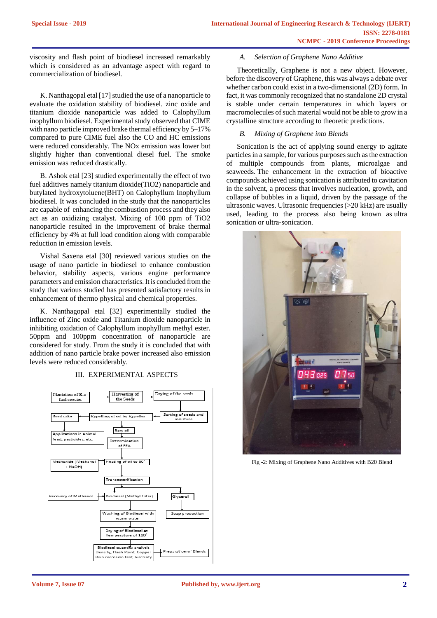viscosity and flash point of biodiesel increased remarkably which is considered as an advantage aspect with regard to commercialization of biodiesel.

K. Nanthagopal etal [17] studied the use of a nanoparticle to evaluate the oxidation stability of biodiesel. zinc oxide and titanium dioxide nanoparticle was added to Calophyllum inophyllum biodiesel. Experimental study observed that CIME with nano particle improved brake thermal efficiency by 5–17% compared to pure CIME fuel also the CO and HC emissions were reduced considerably. The NOx emission was lower but slightly higher than conventional diesel fuel. The smoke emission was reduced drastically.

B. Ashok etal [23] studied experimentally the effect of two fuel additives namely titanium dioxide(TiO2) nanoparticle and butylated hydroxytoluene(BHT) on Calophyllum Inophyllum biodiesel. It was concluded in the study that the nanoparticles are capable of enhancing the combustion process and they also act as an oxidizing catalyst. Mixing of 100 ppm of TiO2 nanoparticle resulted in the improvement of brake thermal efficiency by 4% at full load condition along with comparable reduction in emission levels.

Vishal Saxena etal [30] reviewed various studies on the usage of nano particle in biodiesel to enhance combustion behavior, stability aspects, various engine performance parameters and emission characteristics. It is concluded from the study that various studied has presented satisfactory results in enhancement of thermo physical and chemical properties.

K. Nanthagopal etal [32] experimentally studied the influence of Zinc oxide and Titanium dioxide nanoparticle in inhibiting oxidation of Calophyllum inophyllum methyl ester. 50ppm and 100ppm concentration of nanoparticle are considered for study. From the study it is concluded that with addition of nano particle brake power increased also emission levels were reduced considerably.

#### Drying of the seeds Harvesting of Plantation of Bio fuel species the Seeds Sorting of seeds and Expelling of oil by Expeller Seed cake moisture Raw oil **Applications in animal** .<br>feed, pesticides, etc Dete nination of FFA .<br>Methoxide (Methano Heating of oil to 60°  $+$  NaOH1 Transesterification Recovery of Methanol Biodiesel (Methyl Ester) Glycerol Washing of Biodiesel with Soap production .<br>warm water Drying of Biodiesel at Temperature of 110 Biodiesel quantity analysis Preparation of Blends Density, Flash Point, Copper strip corrosion test, Viscosit

#### III. EXPERIMENTAL ASPECTS

## *A. Selection of Graphene Nano Additive*

Theoretically, Graphene is not a new object. However, before the discovery of Graphene, this was always a debate over whether carbon could exist in a two-dimensional (2D) form. In fact, it was commonly recognized that no standalone 2D crystal is stable under certain temperatures in which layers or macromolecules of such material would not be able to grow in a crystalline structure according to theoretic predictions.

## *B. Mixing of Graphene into Blends*

Sonication is the act of applying sound energy to agitate particles in a sample, for various purposes such as the extraction of multiple compounds from plants, microalgae and seaweeds. The enhancement in the extraction of bioactive compounds achieved using sonication is attributed to cavitation in the solvent, a process that involves nucleation, growth, and collapse of bubbles in a liquid, driven by the passage of the ultrasonic waves. Ultrasonic frequencies (>20 kHz) are usually used, leading to the process also being known as ultra sonication or ultra-sonication.



Fig -2: Mixing of Graphene Nano Additives with B20 Blend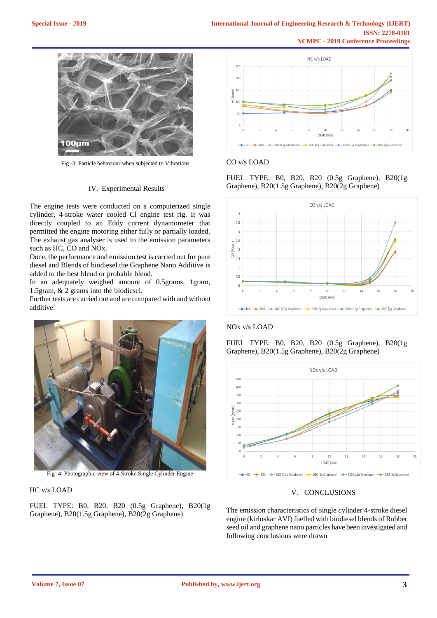

Fig -3: Particle behaviour when subjected to Vibrations

# IV. Experimental Results

The engine tests were conducted on a computerized single cylinder, 4-stroke water cooled Cl engine test rig. It was directly coupled to an Eddy current dynamometer that permitted the engine motoring either fully or partially loaded. The exhaust gas analyser is used to the emission parameters such as HC, CO and NOx.

Once, the performance and emission test is carried out for pure diesel and Blends of biodiesel the Graphene Nano Additive is added to the best blend or probable blend.

In an adequately weighed amount of 0.5grams, 1gram, 1.5gram, & 2 grams into the biodiesel.

Further tests are carried out and are compared with and without additive.



Fig -4: Photographic view of 4-Stroke Single Cylinder Engine

#### HC v/s LOAD

FUEL TYPE: B0, B20, B20 (0.5g Graphene), B20(1g Graphene), B20(1.5g Graphene), B20(2g Graphene)



#### CO v/s LOAD

FUEL TYPE: B0, B20, B20 (0.5g Graphene), B20(1g Graphene), B20(1.5g Graphene), B20(2g Graphene)



# NOx v/s LOAD

FUEL TYPE: B0, B20, B20 (0.5g Graphene), B20(1g Graphene), B20(1.5g Graphene), B20(2g Graphene)



#### V. CONCLUSIONS

The emission characteristics of single cylinder 4-stroke diesel engine (kirloskar AVI) fuelled with biodiesel blends of Rubber seed oil and graphene nano particles have been investigated and following conclusions were drawn